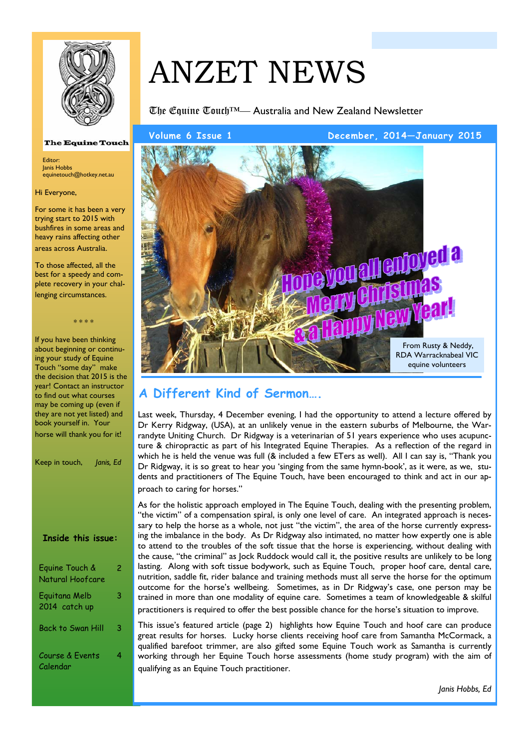

#### **The Equine Touch**

Editor: Janis Hobbs equinetouch@hotkey.net.au

Hi Everyone,

For some it has been a very trying start to 2015 with bushfires in some areas and heavy rains affecting other areas across Australia.

To those affected, all the best for a speedy and complete recovery in your challenging circumstances.

\* \* \* \*

If you have been thinking about beginning or continuing your study of Equine Touch "some day" make the decision that  $2015$  is the year! Contact an instructor to find out what courses may be coming up (even if they are not yet listed) and book yourself in. Your horse will thank you for it!

| Keep in touch,<br>Janis, Ed        |   |
|------------------------------------|---|
|                                    |   |
| <b>Inside this issue:</b>          |   |
| Equine Touch &<br>Natural Hoofcare | 2 |
| Eguitana Melb<br>2014  catch up    | 3 |
| Back to Swan Hill                  | 3 |
| Course & Events<br>Calendar        | 4 |

# ANZET NEWS

The Equine Touch™— Australia and New Zealand Newsletter

**Volume 6 Issue 1 December, 2014—January 2015** 



# **A Different Kind of Sermon….**

Last week, Thursday, 4 December evening, I had the opportunity to attend a lecture offered by Dr Kerry Ridgway, (USA), at an unlikely venue in the eastern suburbs of Melbourne, the Warrandyte Uniting Church. Dr Ridgway is a veterinarian of 51 years experience who uses acupuncture & chiropractic as part of his Integrated Equine Therapies. As a reflection of the regard in which he is held the venue was full (& included a few ETers as well). All I can say is, "Thank you Dr Ridgway, it is so great to hear you 'singing from the same hymn-book', as it were, as we, students and practitioners of The Equine Touch, have been encouraged to think and act in our approach to caring for horses."

As for the holistic approach employed in The Equine Touch, dealing with the presenting problem, "the victim" of a compensation spiral, is only one level of care. An integrated approach is necessary to help the horse as a whole, not just "the victim", the area of the horse currently expressing the imbalance in the body. As Dr Ridgway also intimated, no matter how expertly one is able to attend to the troubles of the soft tissue that the horse is experiencing, without dealing with the cause, "the criminal" as Jock Ruddock would call it, the positive results are unlikely to be long lasting. Along with soft tissue bodywork, such as Equine Touch, proper hoof care, dental care, nutrition, saddle fit, rider balance and training methods must all serve the horse for the optimum outcome for the horse's wellbeing. Sometimes, as in Dr Ridgway's case, one person may be trained in more than one modality of equine care. Sometimes a team of knowledgeable & skilful practitioners is required to offer the best possible chance for the horse's situation to improve.

This issue's featured article (page 2) highlights how Equine Touch and hoof care can produce great results for horses. Lucky horse clients receiving hoof care from Samantha McCormack, a qualified barefoot trimmer, are also gifted some Equine Touch work as Samantha is currently working through her Equine Touch horse assessments (home study program) with the aim of qualifying as an Equine Touch practitioner.

*Janis Hobbs, Ed*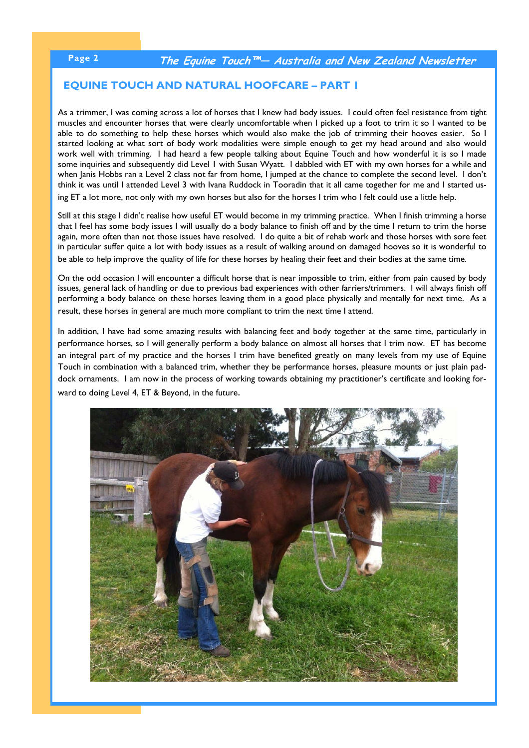#### **EQUINE TOUCH AND NATURAL HOOFCARE – PART 1**

As a trimmer, I was coming across a lot of horses that I knew had body issues. I could often feel resistance from tight muscles and encounter horses that were clearly uncomfortable when I picked up a foot to trim it so I wanted to be able to do something to help these horses which would also make the job of trimming their hooves easier. So I started looking at what sort of body work modalities were simple enough to get my head around and also would work well with trimming. I had heard a few people talking about Equine Touch and how wonderful it is so I made some inquiries and subsequently did Level 1 with Susan Wyatt. I dabbled with ET with my own horses for a while and when Janis Hobbs ran a Level 2 class not far from home, I jumped at the chance to complete the second level. I don't think it was until I attended Level 3 with Ivana Ruddock in Tooradin that it all came together for me and I started using ET a lot more, not only with my own horses but also for the horses I trim who I felt could use a little help.

Still at this stage I didn't realise how useful ET would become in my trimming practice. When I finish trimming a horse that I feel has some body issues I will usually do a body balance to finish off and by the time I return to trim the horse again, more often than not those issues have resolved. I do quite a bit of rehab work and those horses with sore feet in particular suffer quite a lot with body issues as a result of walking around on damaged hooves so it is wonderful to be able to help improve the quality of life for these horses by healing their feet and their bodies at the same time.

On the odd occasion I will encounter a difficult horse that is near impossible to trim, either from pain caused by body issues, general lack of handling or due to previous bad experiences with other farriers/trimmers. I will always finish off performing a body balance on these horses leaving them in a good place physically and mentally for next time. As a result, these horses in general are much more compliant to trim the next time I attend.

In addition, I have had some amazing results with balancing feet and body together at the same time, particularly in performance horses, so I will generally perform a body balance on almost all horses that I trim now. ET has become an integral part of my practice and the horses I trim have benefited greatly on many levels from my use of Equine Touch in combination with a balanced trim, whether they be performance horses, pleasure mounts or just plain paddock ornaments. I am now in the process of working towards obtaining my practitioner's certificate and looking forward to doing Level 4, ET & Beyond, in the future.

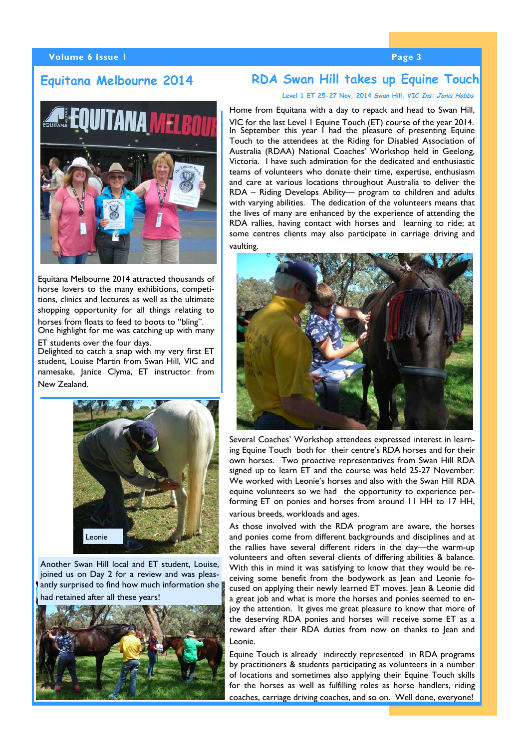#### **Volume 6 Issue 1 Page 3 According to the Contract of Contract 2 According to Page 3**

### **Equitana Melbourne 2014**

## **RDA Swan Hill takes up Equine Touch**

#### **Level 1 ET 25-27 Nov, 2014 Swan Hill, VIC Ins: Janis Hobbs**

Equitana Melbourne 2014 attracted thousands of horse lovers to the many exhibitions, competitions, clinics and lectures as well as the ultimate shopping opportunity for all things relating to horses from floats to feed to boots to "bling". One highlight for me was catching up with many ET students over the four days.

Delighted to catch a snap with my very first ET student, Louise Martin from Swan Hill, VIC and namesake, Janice Clyma, ET instructor from New Zealand.



Another Swan Hill local and ET student, Louise, joined us on Day 2 for a review and was pleasantly surprised to find how much information she had retained after all these years!



Home from Equitana with a day to repack and head to Swan Hill, VIC for the last Level 1 Equine Touch (ET) course of the year 2014. In September this year I had the pleasure of presenting Equine Touch to the attendees at the Riding for Disabled Association of Australia (RDAA) National Coaches' Workshop held in Geelong, Victoria. I have such admiration for the dedicated and enthusiastic teams of volunteers who donate their time, expertise, enthusiasm and care at various locations throughout Australia to deliver the RDA – Riding Develops Ability— program to children and adults with varying abilities. The dedication of the volunteers means that the lives of many are enhanced by the experience of attending the RDA rallies, having contact with horses and learning to ride; at some centres clients may also participate in carriage driving and vaulting.



Several Coaches' Workshop attendees expressed interest in learning Equine Touch both for their centre's RDA horses and for their own horses. Two proactive representatives from Swan Hill RDA signed up to learn ET and the course was held 25-27 November. We worked with Leonie's horses and also with the Swan Hill RDA equine volunteers so we had the opportunity to experience performing ET on ponies and horses from around 11 HH to 17 HH, various breeds, workloads and ages.

As those involved with the RDA program are aware, the horses and ponies come from different backgrounds and disciplines and at the rallies have several different riders in the day—the warm-up volunteers and often several clients of differing abilities & balance. With this in mind it was satisfying to know that they would be receiving some benefit from the bodywork as Jean and Leonie focused on applying their newly learned ET moves. Jean & Leonie did a great job and what is more the horses and ponies seemed to enjoy the attention. It gives me great pleasure to know that more of the deserving RDA ponies and horses will receive some ET as a reward after their RDA duties from now on thanks to Jean and Leonie.

Equine Touch is already indirectly represented in RDA programs by practitioners & students participating as volunteers in a number of locations and sometimes also applying their Equine Touch skills for the horses as well as fulfilling roles as horse handlers, riding coaches, carriage driving coaches, and so on. Well done, everyone!